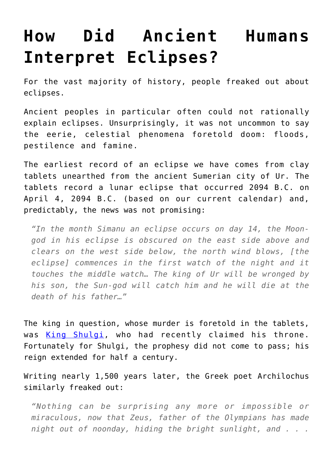## **[How Did Ancient Humans](https://intellectualtakeout.org/2016/04/how-did-ancient-humans-interpret-eclipses/) [Interpret Eclipses?](https://intellectualtakeout.org/2016/04/how-did-ancient-humans-interpret-eclipses/)**

For the vast majority of history, people freaked out about eclipses.

Ancient peoples in particular often could not rationally explain eclipses. Unsurprisingly, it was not uncommon to say the eerie, celestial phenomena foretold doom: floods, pestilence and famine.

The earliest record of an eclipse we have comes from clay tablets unearthed from the ancient Sumerian city of Ur. The tablets record a lunar eclipse that occurred 2094 B.C. on April 4, 2094 B.C. (based on our current calendar) and, predictably, the news was not promising:

*"In the month Simanu an eclipse occurs on day 14, the Moongod in his eclipse is obscured on the east side above and clears on the west side below, the north wind blows, [the eclipse] commences in the first watch of the night and it touches the middle watch… The king of Ur will be wronged by his son, the Sun-god will catch him and he will die at the death of his father…"* 

The king in question, whose murder is foretold in the tablets, was [King Shulgi](http://www.britannica.com/biography/Shulgi), who had recently claimed his throne. Fortunately for Shulgi, the prophesy did not come to pass; his reign extended for half a century.

Writing nearly 1,500 years later, the Greek poet Archilochus similarly freaked out:

*"Nothing can be surprising any more or impossible or miraculous, now that Zeus, father of the Olympians has made night out of noonday, hiding the bright sunlight, and . . .*